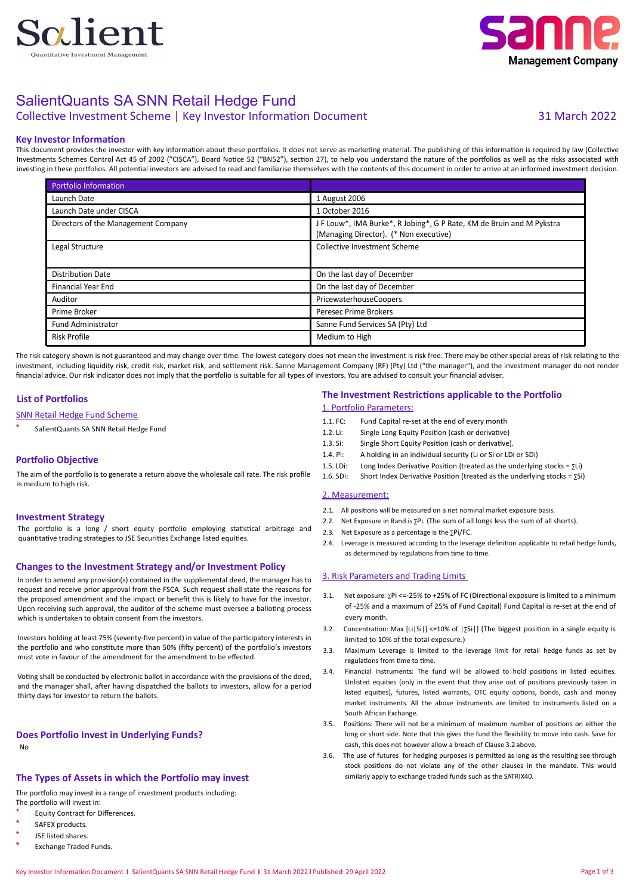



### SalientQuants SA SNN Retail Hedge Fund

### Collective Investment Scheme | Key Investor Information Document 31 March 2022

#### **Key Investor Information**

This document provides the investor with key information about these portfolios. It does not serve as marketing material. The publishing of this information is required by law (Collective Investments Schemes Control Act 45 of 2002 ("CISCA"), Board Notice 52 ("BN52"), section 27), to help you understand the nature of the portfolios as well as the risks associated with investing in these portfolios. All potential investors are advised to read and familiarise themselves with the contents of this document in order to arrive at an informed investment decision.

| <b>Portfolio Information</b>        |                                                                                                                 |
|-------------------------------------|-----------------------------------------------------------------------------------------------------------------|
| Launch Date                         | 1 August 2006                                                                                                   |
| Launch Date under CISCA             | 1 October 2016                                                                                                  |
| Directors of the Management Company | J F Louw*, IMA Burke*, R Jobing*, G P Rate, KM de Bruin and M Pykstra<br>(Managing Director). (* Non executive) |
| Legal Structure                     | Collective Investment Scheme                                                                                    |
| <b>Distribution Date</b>            | On the last day of December                                                                                     |
| <b>Financial Year End</b>           | On the last day of December                                                                                     |
| Auditor                             | PricewaterhouseCoopers                                                                                          |
| Prime Broker                        | Peresec Prime Brokers                                                                                           |
| <b>Fund Administrator</b>           | Sanne Fund Services SA (Pty) Ltd                                                                                |
| <b>Risk Profile</b>                 | Medium to High                                                                                                  |

The risk category shown is not guaranteed and may change over time. The lowest category does not mean the investment is risk free. There may be other special areas of risk relating to the investment, including liquidity risk, credit risk, market risk, and settlement risk. Sanne Management Company (RF) (Pty) Ltd ("the manager"), and the investment manager do not render financial advice. Our risk indicator does not imply that the portfolio is suitable for all types of investors. You are advised to consult your financial adviser

#### **List of Portfolios**

#### SNN Retail Hedge Fund Scheme

SalientQuants SA SNN Retail Hedge Fund

#### **Portfolio Objective**

The aim of the portfolio is to generate a return above the wholesale call rate. The risk profile is medium to high risk.

#### **Investment Strategy**

The portfolio is a long / short equity portfolio employing statistical arbitrage and quantitative trading strategies to JSE Securities Exchange listed equities.

#### **Changes to the Investment Strategy and/or Investment Policy**

In order to amend any provision(s) contained in the supplemental deed, the manager has to request and receive prior approval from the FSCA. Such request shall state the reasons for the proposed amendment and the impact or benefit this is likely to have for the investor. Upon receiving such approval, the auditor of the scheme must oversee a balloting process which is undertaken to obtain consent from the investors.

Investors holding at least 75% (seventy-five percent) in value of the participatory interests in the portfolio and who constitute more than 50% (fifty percent) of the portfolio's investors must vote in favour of the amendment for the amendment to be effected.

Voting shall be conducted by electronic ballot in accordance with the provisions of the deed, and the manager shall, after having dispatched the ballots to investors, allow for a period thirty days for investor to return the ballots.

#### **Does Portfolio Invest in Underlying Funds?**

No

#### **The Types of Assets in which the Portfolio may invest**

The portfolio may invest in a range of investment products including: The portfolio will invest in:

- Equity Contract for Differences.
- SAFFX products
- JSE listed shares.
- Exchange Traded Funds.

#### **The Investment Restrictions applicable to the Portfolio**

#### 1. Portfolio Parameters:

- 1.1. FC: Fund Capital re-set at the end of every month
- 1.2. Li: Single Long Equity Position (cash or derivative)
- 1.3. Si: Single Short Equity Position (cash or derivative).
- 1.4. Pi: A holding in an individual security (Li or Si or LDi or SDi)
- 1.5. LDi: Long Index Derivative Position (treated as the underlying stocks =  $\Sigma$ Li)
- 1.6. SDi: Short Index Derivative Position (treated as the underlying stocks =  $\Sigma$ Si)

#### 2. Measurement:

- 2.1. All positions will be measured on a net nominal market exposure basis.
- 2.2. Net Exposure in Rand is ∑Pi. (The sum of all longs less the sum of all shorts).
- 2.3. Net Exposure as a percentage is the ∑Pi/FC.
- 2.4. Leverage is measured according to the leverage definition applicable to retail hedge funds, as determined by regulations from time to time.

#### 3. Risk Parameters and Trading Limits

- 3.1. Net exposure: ∑Pi <=-25% to +25% of FC (Directional exposure is limited to a minimum of -25% and a maximum of 25% of Fund Capital) Fund Capital is re-set at the end of every month.
- 3.2. Concentration: Max [Li|Si|] <=10% of |∑Si|] (The biggest position in a single equity is limited to 10% of the total exposure.)
- 3.3. Maximum Leverage is limited to the leverage limit for retail hedge funds as set by regulations from time to time.
- 3.4. Financial Instruments: The fund will be allowed to hold positions in listed equities. Unlisted equities (only in the event that they arise out of positions previously taken in listed equities), futures, listed warrants, OTC equity options, bonds, cash and money market instruments. All the above instruments are limited to instruments listed on a South African Exchange.
- 3.5. Positions: There will not be a minimum of maximum number of positions on either the long or short side. Note that this gives the fund the flexibility to move into cash. Save for cash, this does not however allow a breach of Clause 3.2 above.
- 3.6. The use of futures for hedging purposes is permitted as long as the resulting see through stock positions do not violate any of the other clauses in the mandate. This would similarly apply to exchange traded funds such as the SATRIX40.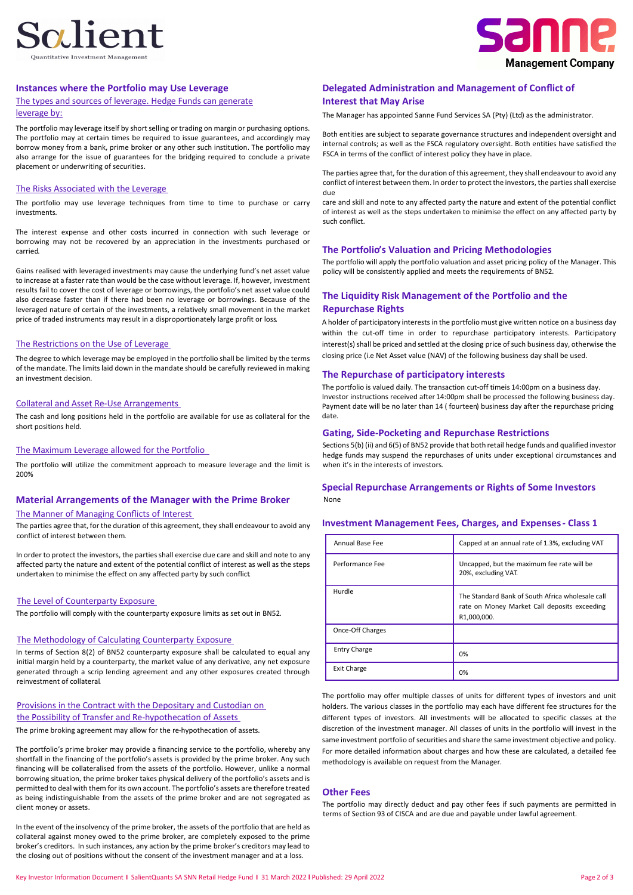## Salient



#### **Instances where the Portfolio may Use Leverage**

#### The types and sources of leverage. Hedge Funds can generate

#### leverage by:

The portfolio may leverage itself by short selling or trading on margin or purchasing options. The portfolio may at certain times be required to issue guarantees, and accordingly may borrow money from a bank, prime broker or any other such institution. The portfolio may also arrange for the issue of guarantees for the bridging required to conclude a private placement or underwriting of securities.

#### The Risks Associated with the Leverage

The portfolio may use leverage techniques from time to time to purchase or carry investments.

The interest expense and other costs incurred in connection with such leverage or borrowing may not be recovered by an appreciation in the investments purchased or carried.

Gains realised with leveraged investments may cause the underlying fund's net asset value to increase at a faster rate than would be the case without leverage. If, however, investment results fail to cover the cost of leverage or borrowings, the portfolio's net asset value could also decrease faster than if there had been no leverage or borrowings. Because of the leveraged nature of certain of the investments, a relatively small movement in the market price of traded instruments may result in a disproportionately large profit or loss.

#### The Restrictions on the Use of Leverage

The degree to which leverage may be employed in the portfolio shall be limited by the terms of the mandate. The limits laid down in the mandate should be carefully reviewed in making an investment decision.

#### Collateral and Asset Re-Use Arrangements

The cash and long positions held in the portfolio are available for use as collateral for the short positions held.

#### The Maximum Leverage allowed for the Portfolio

The portfolio will utilize the commitment approach to measure leverage and the limit is 200%

#### **Material Arrangements of the Manager with the Prime Broker**

#### The Manner of Managing Conflicts of Interest

The parties agree that, for the duration of this agreement, they shall endeavour to avoid any conflict of interest between them.

In order to protect the investors, the parties shall exercise due care and skill and note to any affected party the nature and extent of the potential conflict of interest as well as the steps undertaken to minimise the effect on any affected party by such conflict.

#### The Level of Counterparty Exposure

The portfolio will comply with the counterparty exposure limits as set out in BN52.

#### The Methodology of Calculating Counterparty Exposure

In terms of Section 8(2) of BN52 counterparty exposure shall be calculated to equal any initial margin held by a counterparty, the market value of any derivative, any net exposure generated through a scrip lending agreement and any other exposures created through reinvestment of collateral.

#### Provisions in the Contract with the Depositary and Custodian on the Possibility of Transfer and Re-hypothecation of Assets

The prime broking agreement may allow for the re-hypothecation of assets.

The portfolio's prime broker may provide a financing service to the portfolio, whereby any shortfall in the financing of the portfolio's assets is provided by the prime broker. Any such financing will be collateralised from the assets of the portfolio. However, unlike a normal borrowing situation, the prime broker takes physical delivery of the portfolio's assets and is permitted to deal with them forits own account. The portfolio's assets are therefore treated as being indistinguishable from the assets of the prime broker and are not segregated as client money or assets.

In the event of the insolvency of the prime broker, the assets of the portfolio that are held as collateral against money owed to the prime broker, are completely exposed to the prime broker's creditors. In such instances, any action by the prime broker's creditors may lead to the closing out of positions without the consent of the investment manager and at a loss.

#### **Delegated Administration and Management of Conflict of Interest that May Arise**

The Manager has appointed Sanne Fund Services SA (Pty) (Ltd) as the administrator.

Both entities are subject to separate governance structures and independent oversight and internal controls; as well as the FSCA regulatory oversight. Both entities have satisfied the FSCA in terms of the conflict of interest policy they have in place.

The parties agree that, for the duration of this agreement, they shall endeavour to avoid any conflict of interest between them. In orderto protect the investors, the partiesshall exercise due

care and skill and note to any affected party the nature and extent of the potential conflict of interest as well as the steps undertaken to minimise the effect on any affected party by such conflict.

#### **The Portfolio's Valuation and Pricing Methodologies**

The portfolio will apply the portfolio valuation and asset pricing policy of the Manager. This policy will be consistently applied and meets the requirements of BN52.

#### **The Liquidity Risk Management of the Portfolio and the Repurchase Rights**

A holder of participatory interests in the portfolio must give written notice on a business day within the cut-off time in order to repurchase participatory interests. Participatory interest(s) shall be priced and settled at the closing price of such business day, otherwise the closing price (i.e Net Asset value (NAV) of the following business day shall be used.

#### **The Repurchase of participatory interests**

The portfolio is valued daily. The transaction cut-off timeis 14:00pm on a business day. Investor instructions received after 14:00pm shall be processed the following business day. Payment date will be no later than 14 ( fourteen) business day after the repurchase pricing date.

#### **Gating, Side-Pocketing and Repurchase Restrictions**

Sections 5(b) (ii) and 6(5) of BN52 provide that both retail hedge funds and qualified investor hedge funds may suspend the repurchases of units under exceptional circumstances and when it's in the interests of investors.

#### None **Special Repurchase Arrangements or Rights of Some Investors**

| <b>Investment Management Fees, Charges, and Expenses - Class 1</b> |  |  |  |  |  |  |
|--------------------------------------------------------------------|--|--|--|--|--|--|
|--------------------------------------------------------------------|--|--|--|--|--|--|

| Annual Base Fee     | Capped at an annual rate of 1.3%, excluding VAT                                                                 |
|---------------------|-----------------------------------------------------------------------------------------------------------------|
| Performance Fee     | Uncapped, but the maximum fee rate will be<br>20%, excluding VAT.                                               |
| Hurdle              | The Standard Bank of South Africa wholesale call<br>rate on Money Market Call deposits exceeding<br>R1,000,000. |
| Once-Off Charges    |                                                                                                                 |
| <b>Entry Charge</b> | 0%                                                                                                              |
| <b>Exit Charge</b>  | 0%                                                                                                              |

The portfolio may offer multiple classes of units for different types of investors and unit holders. The various classes in the portfolio may each have different fee structures for the different types of investors. All investments will be allocated to specific classes at the discretion of the investment manager. All classes of units in the portfolio will invest in the same investment portfolio of securities and share the same investment objective and policy. For more detailed information about charges and how these are calculated, a detailed fee methodology is available on request from the Manager.

#### **Other Fees**

The portfolio may directly deduct and pay other fees if such payments are permitted in terms of Section 93 of CISCA and are due and payable under lawful agreement.